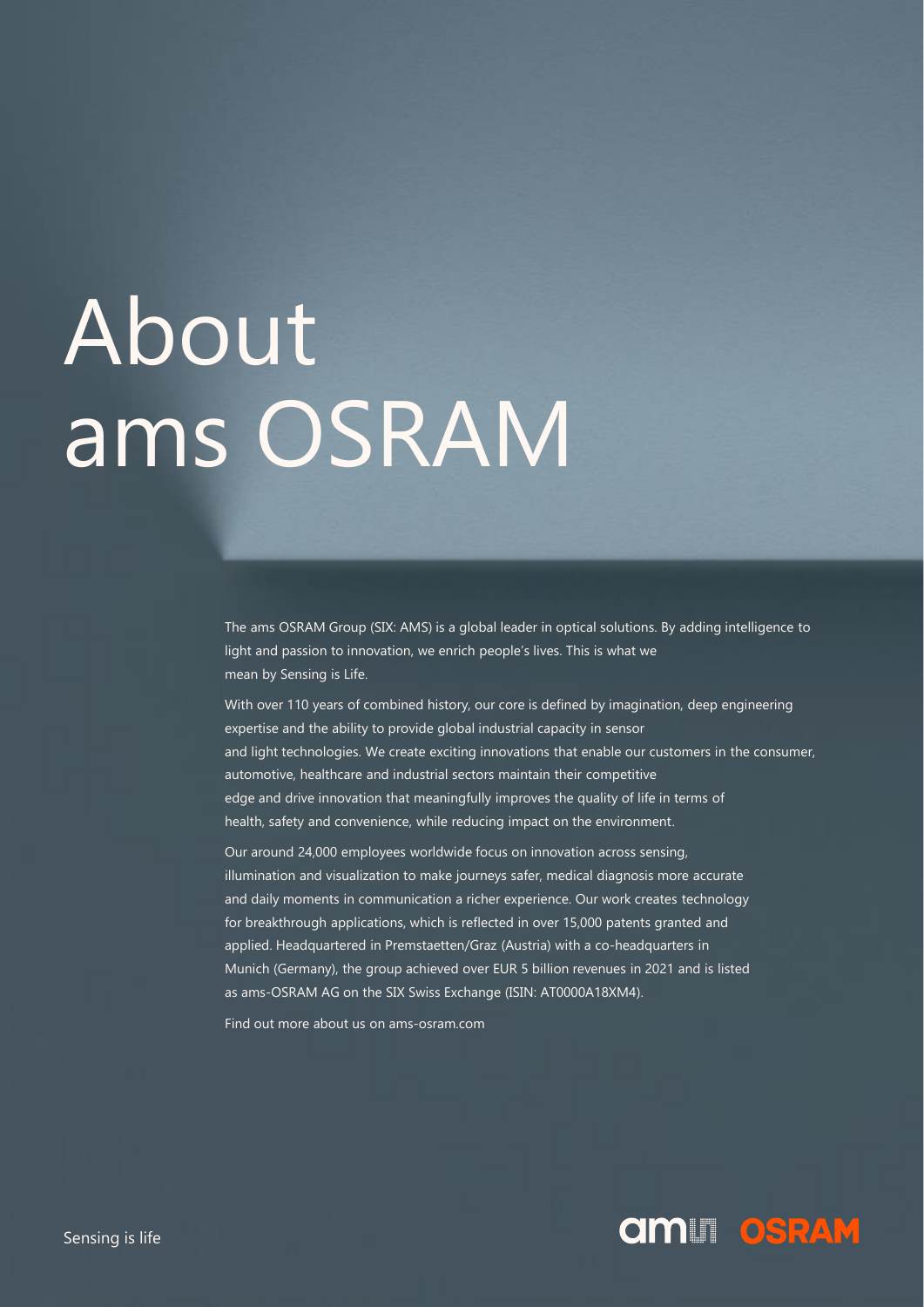# About ams OSRAM

The ams OSRAM Group (SIX: AMS) is a global leader in optical solutions. By adding intelligence to light and passion to innovation, we enrich people's lives. This is what we mean by Sensing is Life.

With over 110 years of combined history, our core is defined by imagination, deep engineering expertise and the ability to provide global industrial capacity in sensor and light technologies. We create exciting innovations that enable our customers in the consumer, automotive, healthcare and industrial sectors maintain their competitive edge and drive innovation that meaningfully improves the quality of life in terms of health, safety and convenience, while reducing impact on the environment.

Our around 24,000 employees worldwide focus on innovation across sensing, illumination and visualization to make journeys safer, medical diagnosis more accurate and daily moments in communication a richer experience. Our work creates technology for breakthrough applications, which is reflected in over 15,000 patents granted and applied. Headquartered in Premstaetten/Graz (Austria) with a co-headquarters in Munich (Germany), the group achieved over EUR 5 billion revenues in 2021 and is listed as ams-OSRAM AG on the SIX Swiss Exchange (ISIN: AT0000A18XM4).

Find out more about us on ams-osram.com